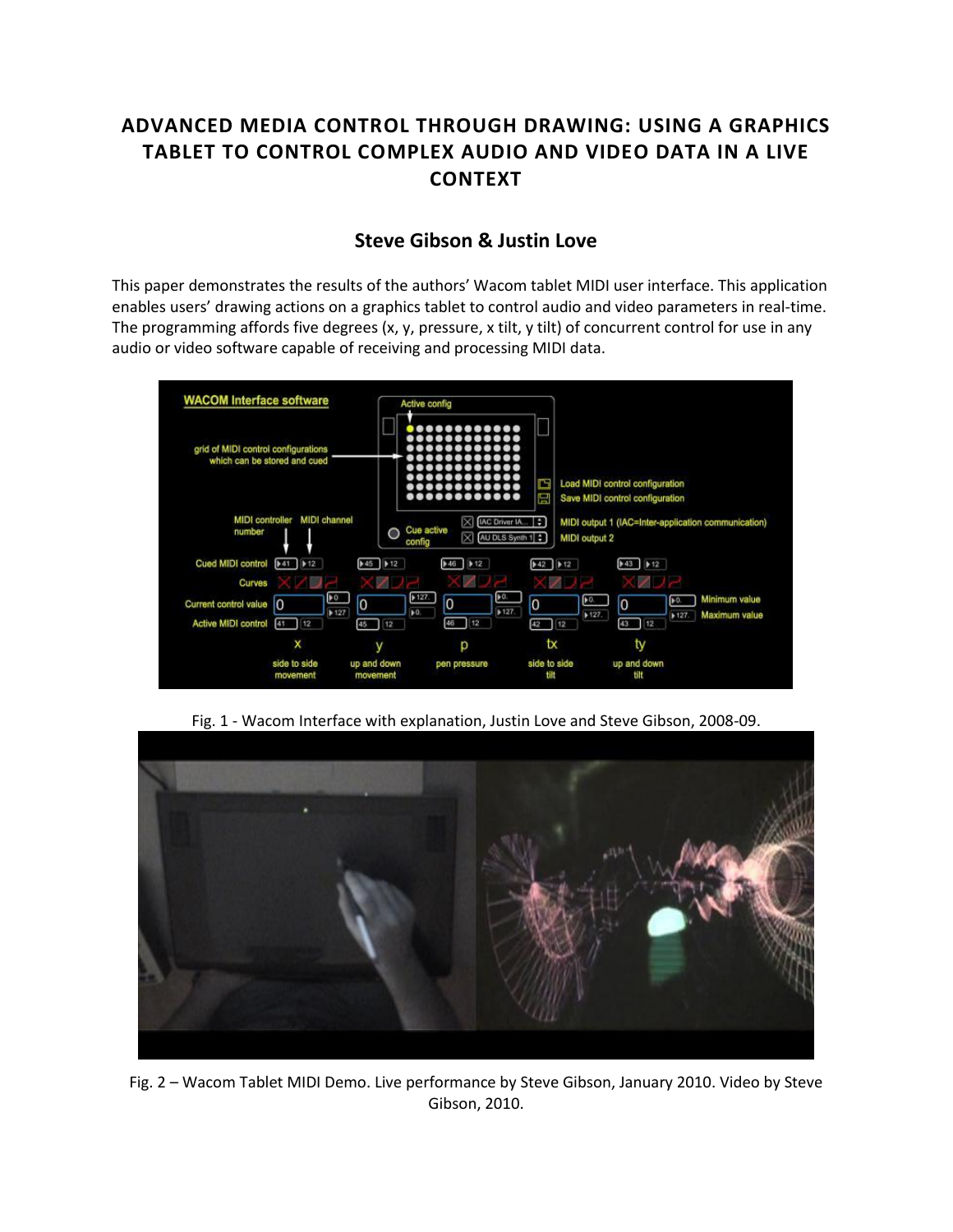# **ADVANCED MEDIA CONTROL THROUGH DRAWING: USING A GRAPHICS TABLET TO CONTROL COMPLEX AUDIO AND VIDEO DATA IN A LIVE CONTEXT**

# **[Steve Gibson](http://isea2011.sabanciuniv.edu/dr-12.html) & [Justin Love](http://isea2011.sabanciuniv.edu/-407.html)**

This paper demonstrates the results of the authors' Wacom tablet MIDI user interface. This application enables users' drawing actions on a graphics tablet to control audio and video parameters in real-time. The programming affords five degrees (x, y, pressure, x tilt, y tilt) of concurrent control for use in any audio or video software capable of receiving and processing MIDI data.



Fig. 1 - Wacom Interface with explanation, Justin Love and Steve Gibson, 2008-09.



Fig. 2 – Wacom Tablet MIDI Demo. Live performance by Steve Gibson, January 2010. Video by Steve Gibson, 2010.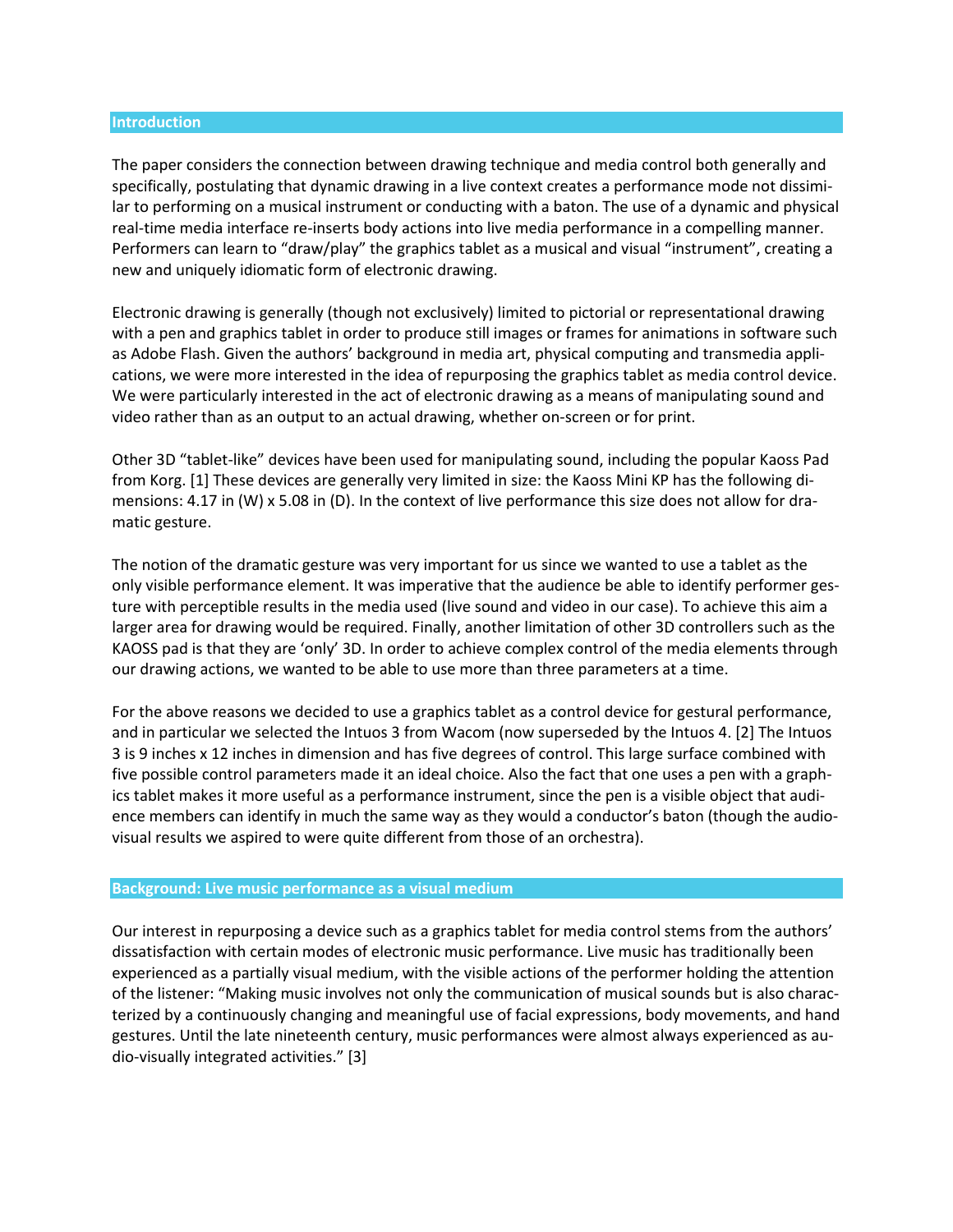#### **Introduction**

The paper considers the connection between drawing technique and media control both generally and specifically, postulating that dynamic drawing in a live context creates a performance mode not dissimilar to performing on a musical instrument or conducting with a baton. The use of a dynamic and physical real-time media interface re-inserts body actions into live media performance in a compelling manner. Performers can learn to "draw/play" the graphics tablet as a musical and visual "instrument", creating a new and uniquely idiomatic form of electronic drawing.

Electronic drawing is generally (though not exclusively) limited to pictorial or representational drawing with a pen and graphics tablet in order to produce still images or frames for animations in software such as Adobe Flash. Given the authors' background in media art, physical computing and transmedia applications, we were more interested in the idea of repurposing the graphics tablet as media control device. We were particularly interested in the act of electronic drawing as a means of manipulating sound and video rather than as an output to an actual drawing, whether on-screen or for print.

Other 3D "tablet-like" devices have been used for manipulating sound, including the popular Kaoss Pad from Korg. [1] These devices are generally very limited in size: the Kaoss Mini KP has the following dimensions: 4.17 in (W) x 5.08 in (D). In the context of live performance this size does not allow for dramatic gesture.

The notion of the dramatic gesture was very important for us since we wanted to use a tablet as the only visible performance element. It was imperative that the audience be able to identify performer gesture with perceptible results in the media used (live sound and video in our case). To achieve this aim a larger area for drawing would be required. Finally, another limitation of other 3D controllers such as the KAOSS pad is that they are 'only' 3D. In order to achieve complex control of the media elements through our drawing actions, we wanted to be able to use more than three parameters at a time.

For the above reasons we decided to use a graphics tablet as a control device for gestural performance, and in particular we selected the Intuos 3 from Wacom (now superseded by the Intuos 4. [2] The Intuos 3 is 9 inches x 12 inches in dimension and has five degrees of control. This large surface combined with five possible control parameters made it an ideal choice. Also the fact that one uses a pen with a graphics tablet makes it more useful as a performance instrument, since the pen is a visible object that audience members can identify in much the same way as they would a conductor's baton (though the audiovisual results we aspired to were quite different from those of an orchestra).

#### **Background: Live music performance as a visual medium**

Our interest in repurposing a device such as a graphics tablet for media control stems from the authors' dissatisfaction with certain modes of electronic music performance. Live music has traditionally been experienced as a partially visual medium, with the visible actions of the performer holding the attention of the listener: "Making music involves not only the communication of musical sounds but is also characterized by a continuously changing and meaningful use of facial expressions, body movements, and hand gestures. Until the late nineteenth century, music performances were almost always experienced as audio-visually integrated activities." [3]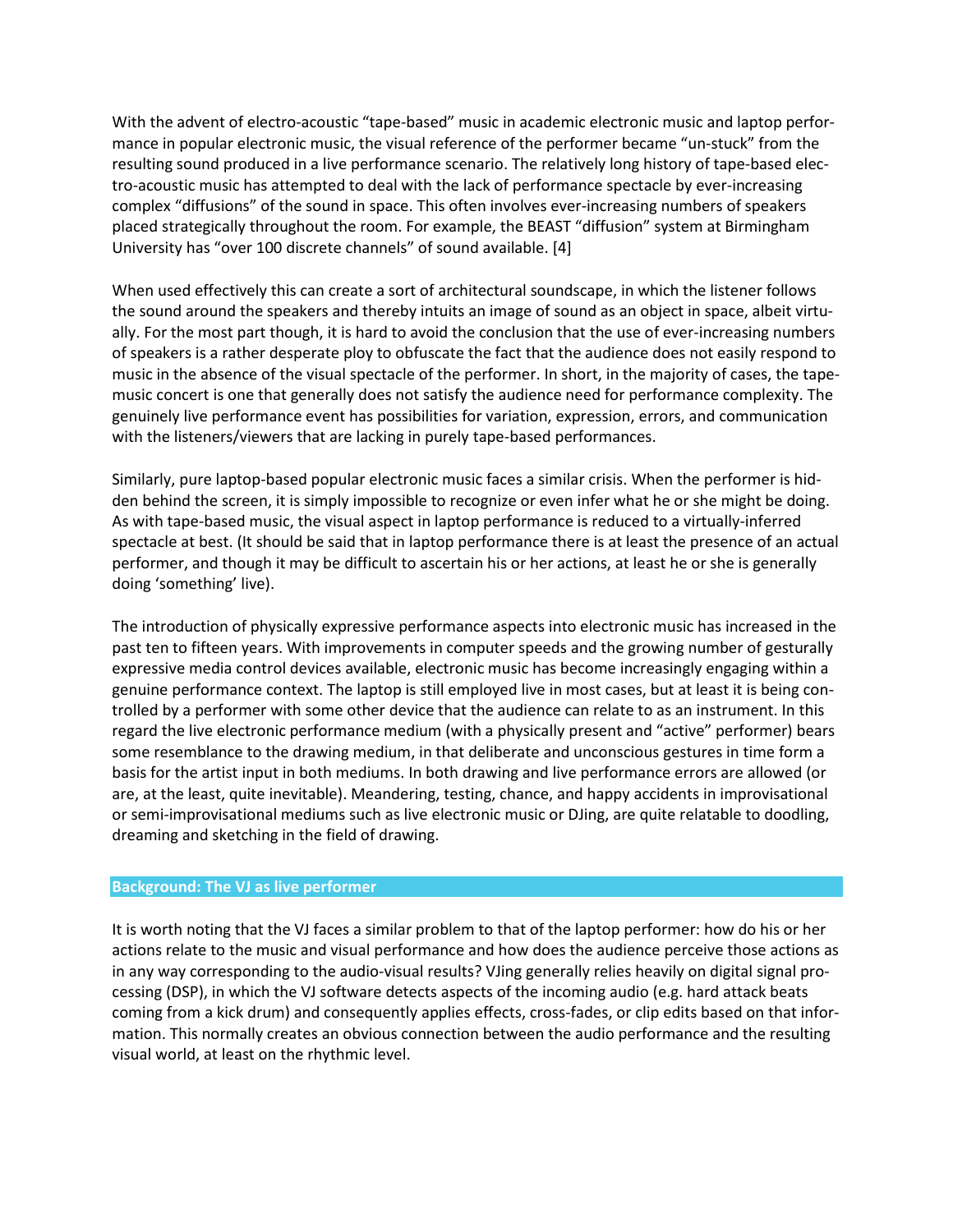With the advent of electro-acoustic "tape-based" music in academic electronic music and laptop performance in popular electronic music, the visual reference of the performer became "un-stuck" from the resulting sound produced in a live performance scenario. The relatively long history of tape-based electro-acoustic music has attempted to deal with the lack of performance spectacle by ever-increasing complex "diffusions" of the sound in space. This often involves ever-increasing numbers of speakers placed strategically throughout the room. For example, the BEAST "diffusion" system at Birmingham University has "over 100 discrete channels" of sound available. [4]

When used effectively this can create a sort of architectural soundscape, in which the listener follows the sound around the speakers and thereby intuits an image of sound as an object in space, albeit virtually. For the most part though, it is hard to avoid the conclusion that the use of ever-increasing numbers of speakers is a rather desperate ploy to obfuscate the fact that the audience does not easily respond to music in the absence of the visual spectacle of the performer. In short, in the majority of cases, the tapemusic concert is one that generally does not satisfy the audience need for performance complexity. The genuinely live performance event has possibilities for variation, expression, errors, and communication with the listeners/viewers that are lacking in purely tape-based performances.

Similarly, pure laptop-based popular electronic music faces a similar crisis. When the performer is hidden behind the screen, it is simply impossible to recognize or even infer what he or she might be doing. As with tape-based music, the visual aspect in laptop performance is reduced to a virtually-inferred spectacle at best. (It should be said that in laptop performance there is at least the presence of an actual performer, and though it may be difficult to ascertain his or her actions, at least he or she is generally doing 'something' live).

The introduction of physically expressive performance aspects into electronic music has increased in the past ten to fifteen years. With improvements in computer speeds and the growing number of gesturally expressive media control devices available, electronic music has become increasingly engaging within a genuine performance context. The laptop is still employed live in most cases, but at least it is being controlled by a performer with some other device that the audience can relate to as an instrument. In this regard the live electronic performance medium (with a physically present and "active" performer) bears some resemblance to the drawing medium, in that deliberate and unconscious gestures in time form a basis for the artist input in both mediums. In both drawing and live performance errors are allowed (or are, at the least, quite inevitable). Meandering, testing, chance, and happy accidents in improvisational or semi-improvisational mediums such as live electronic music or DJing, are quite relatable to doodling, dreaming and sketching in the field of drawing.

#### **Background: The VJ as live performer**

It is worth noting that the VJ faces a similar problem to that of the laptop performer: how do his or her actions relate to the music and visual performance and how does the audience perceive those actions as in any way corresponding to the audio-visual results? VJing generally relies heavily on digital signal processing (DSP), in which the VJ software detects aspects of the incoming audio (e.g. hard attack beats coming from a kick drum) and consequently applies effects, cross-fades, or clip edits based on that information. This normally creates an obvious connection between the audio performance and the resulting visual world, at least on the rhythmic level.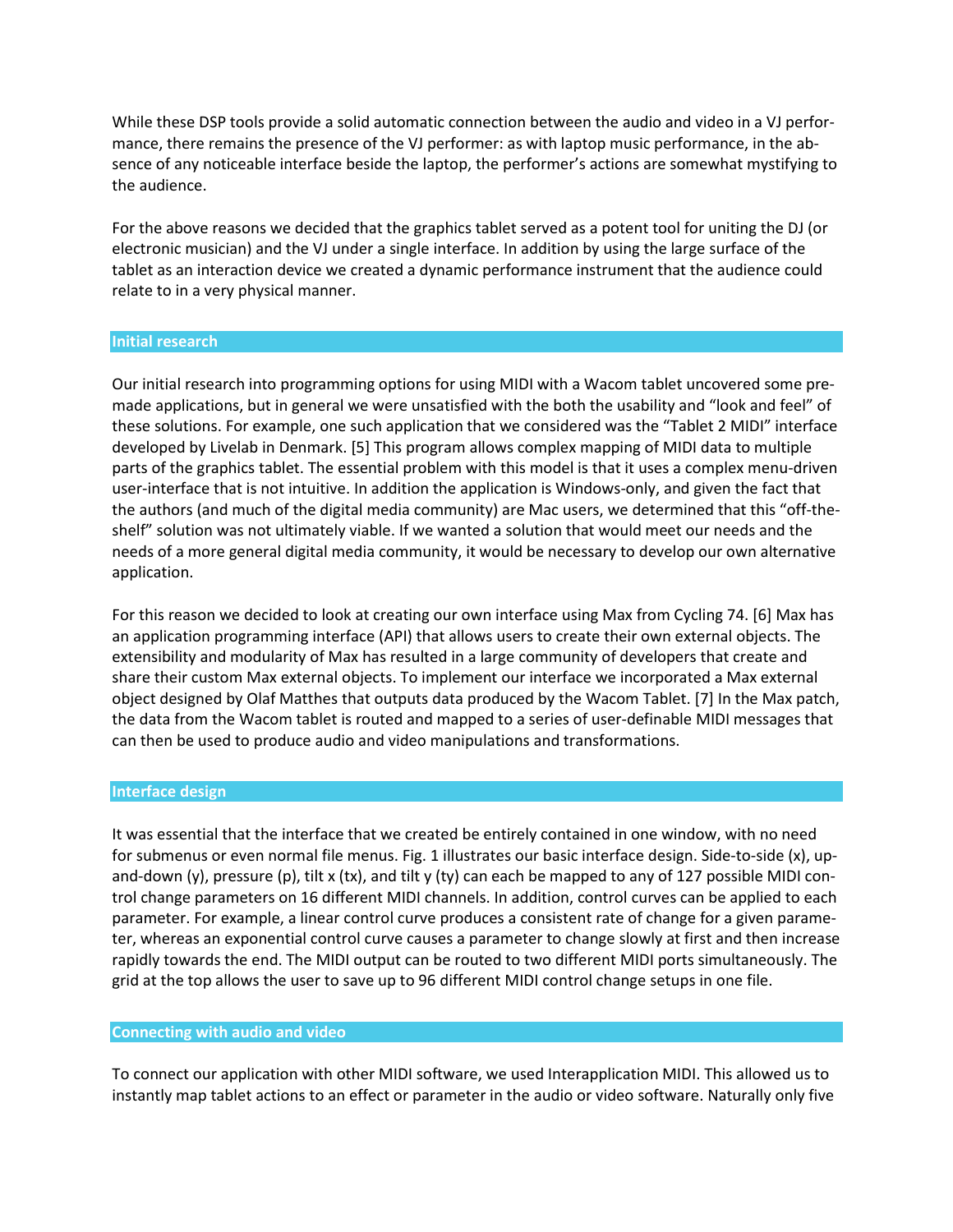While these DSP tools provide a solid automatic connection between the audio and video in a VJ performance, there remains the presence of the VJ performer: as with laptop music performance, in the absence of any noticeable interface beside the laptop, the performer's actions are somewhat mystifying to the audience.

For the above reasons we decided that the graphics tablet served as a potent tool for uniting the DJ (or electronic musician) and the VJ under a single interface. In addition by using the large surface of the tablet as an interaction device we created a dynamic performance instrument that the audience could relate to in a very physical manner.

#### **Initial research**

Our initial research into programming options for using MIDI with a Wacom tablet uncovered some premade applications, but in general we were unsatisfied with the both the usability and "look and feel" of these solutions. For example, one such application that we considered was the "Tablet 2 MIDI" interface developed by Livelab in Denmark. [5] This program allows complex mapping of MIDI data to multiple parts of the graphics tablet. The essential problem with this model is that it uses a complex menu-driven user-interface that is not intuitive. In addition the application is Windows-only, and given the fact that the authors (and much of the digital media community) are Mac users, we determined that this "off-theshelf" solution was not ultimately viable. If we wanted a solution that would meet our needs and the needs of a more general digital media community, it would be necessary to develop our own alternative application.

For this reason we decided to look at creating our own interface using Max from Cycling 74. [6] Max has an application programming interface (API) that allows users to create their own external objects. The extensibility and modularity of Max has resulted in a large community of developers that create and share their custom Max external objects. To implement our interface we incorporated a Max external object designed by Olaf Matthes that outputs data produced by the Wacom Tablet. [7] In the Max patch, the data from the Wacom tablet is routed and mapped to a series of user-definable MIDI messages that can then be used to produce audio and video manipulations and transformations.

#### **Interface design**

It was essential that the interface that we created be entirely contained in one window, with no need for submenus or even normal file menus. Fig. 1 illustrates our basic interface design. Side-to-side (x), upand-down (y), pressure (p), tilt x (tx), and tilt y (ty) can each be mapped to any of 127 possible MIDI control change parameters on 16 different MIDI channels. In addition, control curves can be applied to each parameter. For example, a linear control curve produces a consistent rate of change for a given parameter, whereas an exponential control curve causes a parameter to change slowly at first and then increase rapidly towards the end. The MIDI output can be routed to two different MIDI ports simultaneously. The grid at the top allows the user to save up to 96 different MIDI control change setups in one file.

#### **Connecting with audio and video**

To connect our application with other MIDI software, we used Interapplication MIDI. This allowed us to instantly map tablet actions to an effect or parameter in the audio or video software. Naturally only five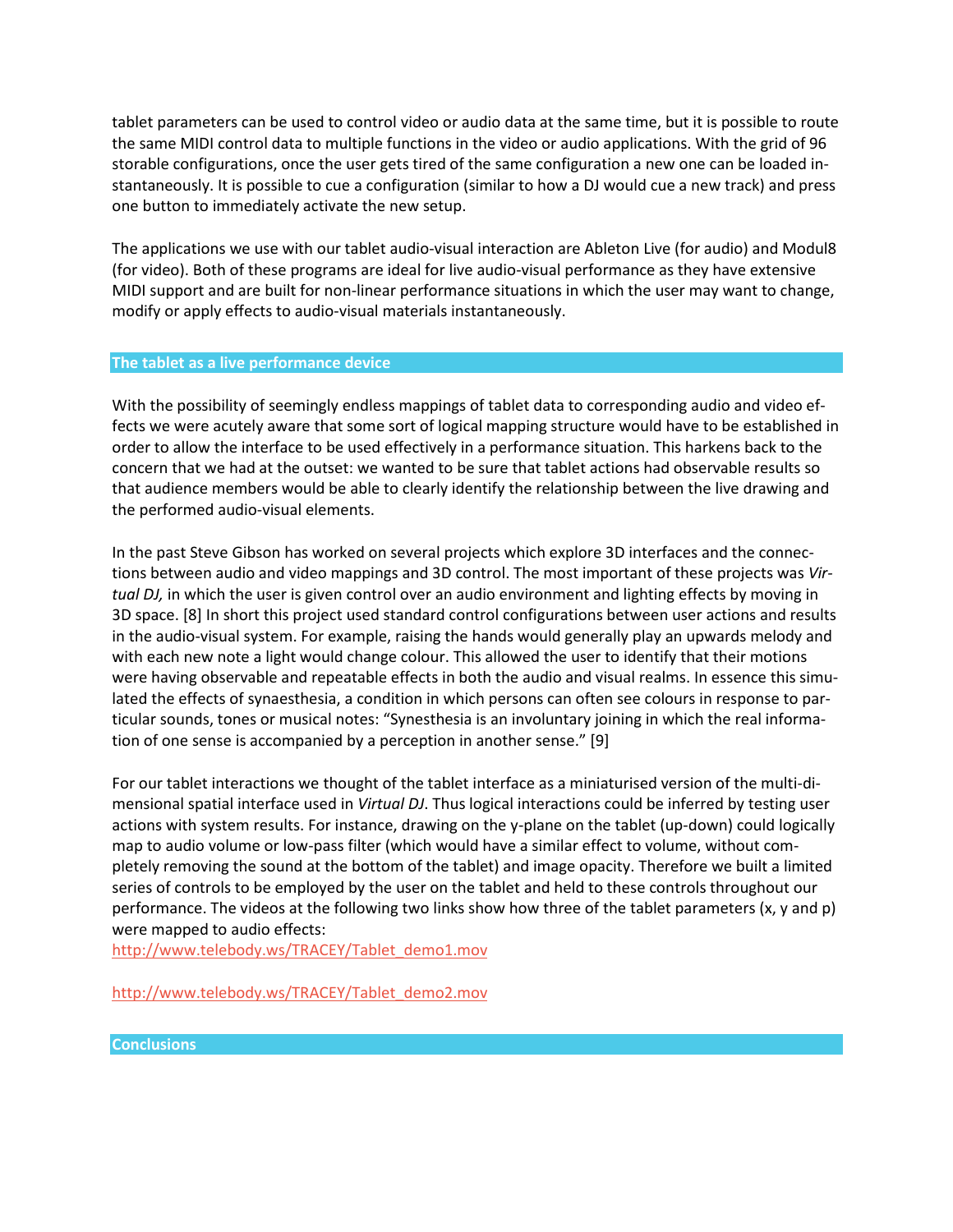tablet parameters can be used to control video or audio data at the same time, but it is possible to route the same MIDI control data to multiple functions in the video or audio applications. With the grid of 96 storable configurations, once the user gets tired of the same configuration a new one can be loaded instantaneously. It is possible to cue a configuration (similar to how a DJ would cue a new track) and press one button to immediately activate the new setup.

The applications we use with our tablet audio-visual interaction are Ableton Live (for audio) and Modul8 (for video). Both of these programs are ideal for live audio-visual performance as they have extensive MIDI support and are built for non-linear performance situations in which the user may want to change, modify or apply effects to audio-visual materials instantaneously.

#### **The tablet as a live performance device**

With the possibility of seemingly endless mappings of tablet data to corresponding audio and video effects we were acutely aware that some sort of logical mapping structure would have to be established in order to allow the interface to be used effectively in a performance situation. This harkens back to the concern that we had at the outset: we wanted to be sure that tablet actions had observable results so that audience members would be able to clearly identify the relationship between the live drawing and the performed audio-visual elements.

In the past Steve Gibson has worked on several projects which explore 3D interfaces and the connections between audio and video mappings and 3D control. The most important of these projects was *Virtual DJ,* in which the user is given control over an audio environment and lighting effects by moving in 3D space. [8] In short this project used standard control configurations between user actions and results in the audio-visual system. For example, raising the hands would generally play an upwards melody and with each new note a light would change colour. This allowed the user to identify that their motions were having observable and repeatable effects in both the audio and visual realms. In essence this simulated the effects of synaesthesia, a condition in which persons can often see colours in response to particular sounds, tones or musical notes: "Synesthesia is an involuntary joining in which the real information of one sense is accompanied by a perception in another sense." [9]

For our tablet interactions we thought of the tablet interface as a miniaturised version of the multi-dimensional spatial interface used in *Virtual DJ*. Thus logical interactions could be inferred by testing user actions with system results. For instance, drawing on the y-plane on the tablet (up-down) could logically map to audio volume or low-pass filter (which would have a similar effect to volume, without completely removing the sound at the bottom of the tablet) and image opacity. Therefore we built a limited series of controls to be employed by the user on the tablet and held to these controls throughout our performance. The videos at the following two links show how three of the tablet parameters (x, y and p) were mapped to audio effects:

[http://www.telebody.ws/TRACEY/Tablet\\_demo1.mov](http://www.telebody.ws/TRACEY/Tablet_demo1.mov)

[http://www.telebody.ws/TRACEY/Tablet\\_demo2.mov](http://www.telebody.ws/TRACEY/Tablet_demo2.mov)

**Conclusions**